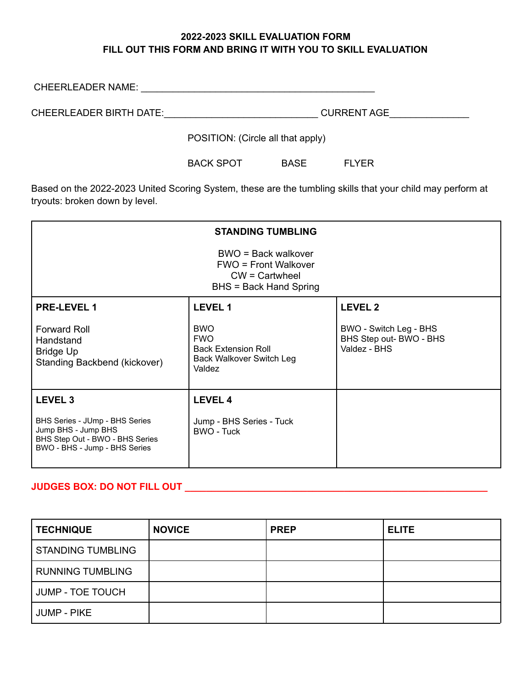## **2022-2023 SKILL EVALUATION FORM FILL OUT THIS FORM AND BRING IT WITH YOU TO SKILL EVALUATION**

| <b>CHEERLEADER NAME:</b> |                                   |
|--------------------------|-----------------------------------|
| CHEERLEADER BIRTH DATE:  | <b>CURRENT AGE</b>                |
|                          | POSITION: (Circle all that apply) |

BACK SPOT BASE FLYER

Based on the 2022-2023 United Scoring System, these are the tumbling skills that your child may perform at tryouts: broken down by level.

| <b>STANDING TUMBLING</b>                                                                                                  |                                                                                                     |                                                                   |  |
|---------------------------------------------------------------------------------------------------------------------------|-----------------------------------------------------------------------------------------------------|-------------------------------------------------------------------|--|
| BWO = Back walkover<br><b>FWO</b> = Front Walkover<br>$CW =$ Cartwheel<br><b>BHS = Back Hand Spring</b>                   |                                                                                                     |                                                                   |  |
| <b>PRE-LEVEL 1</b>                                                                                                        | <b>LEVEL 1</b>                                                                                      | <b>LEVEL 2</b>                                                    |  |
| <b>Forward Roll</b><br>Handstand<br><b>Bridge Up</b><br>Standing Backbend (kickover)                                      | <b>BWO</b><br><b>FWO</b><br><b>Back Extension Roll</b><br><b>Back Walkover Switch Leg</b><br>Valdez | BWO - Switch Leg - BHS<br>BHS Step out- BWO - BHS<br>Valdez - BHS |  |
| LEVEL <sub>3</sub>                                                                                                        | <b>LEVEL 4</b>                                                                                      |                                                                   |  |
| BHS Series - JUmp - BHS Series<br>Jump BHS - Jump BHS<br>BHS Step Out - BWO - BHS Series<br>BWO - BHS - Jump - BHS Series | Jump - BHS Series - Tuck<br>BWO - Tuck                                                              |                                                                   |  |

## **JUDGES BOX: DO NOT FILL OUT \_\_\_\_\_\_\_\_\_\_\_\_\_\_\_\_\_\_\_\_\_\_\_\_\_\_\_\_\_\_\_\_\_\_\_\_\_\_\_\_\_\_\_\_\_\_\_\_\_\_\_\_\_\_\_\_\_**

| <b>TECHNIQUE</b>         | <b>NOVICE</b> | <b>PREP</b> | <b>ELITE</b> |
|--------------------------|---------------|-------------|--------------|
| <b>STANDING TUMBLING</b> |               |             |              |
| <b>RUNNING TUMBLING</b>  |               |             |              |
| <b>JUMP - TOE TOUCH</b>  |               |             |              |
| <b>JUMP - PIKE</b>       |               |             |              |